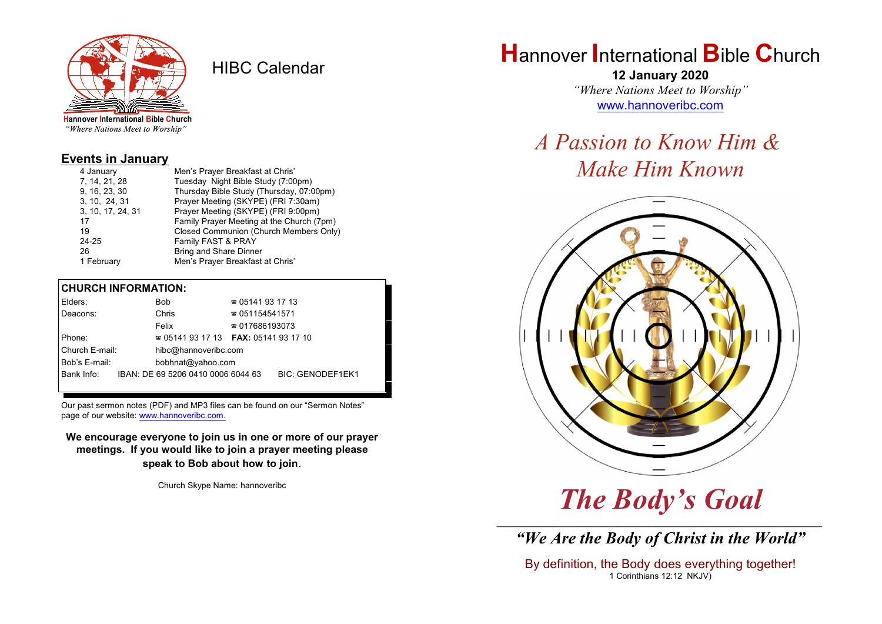

HIBC Calendar

"Where Nations Meet to Worship"

#### **Events in January**

| 4 January         | Men's Prayer Breakfast at Chris'          |
|-------------------|-------------------------------------------|
| 7, 14, 21, 28     | Tuesday Night Bible Study (7:00pm)        |
| 9, 16, 23, 30     | Thursday Bible Study (Thursday, 07:00pm)  |
| 3, 10, 24, 31     | Prayer Meeting (SKYPE) (FRI 7:30am)       |
| 3, 10, 17, 24, 31 | Prayer Meeting (SKYPE) (FRI 9:00pm)       |
| 17                | Family Prayer Meeting at the Church (7pm) |
| 19                | Closed Communion (Church Members Only)    |
| 24-25             | Family FAST & PRAY                        |
| 26                | <b>Bring and Share Dinner</b>             |
| 1 February        | Men's Prayer Breakfast at Chris'          |
|                   |                                           |

#### **CHURCH INFORMATION:**

| Elders:        | Bob                                      | $\approx 05141931713$  |                         |  |
|----------------|------------------------------------------|------------------------|-------------------------|--|
| Deacons:       | Chris                                    | $\approx 051154541571$ |                         |  |
|                | Felix                                    | $\approx 017686193073$ |                         |  |
| Phone:         | $\approx 05141931713$ FAX: 0514193 17 10 |                        |                         |  |
| Church E-mail: | hibc@hannoveribc.com                     |                        |                         |  |
| Bob's E-mail:  | bobhnat@yahoo.com                        |                        |                         |  |
| Bank Info:     | IBAN: DE 69 5206 0410 0006 6044 63       |                        | <b>BIC: GENODEF1EK1</b> |  |
|                |                                          |                        |                         |  |

Our past sermon notes (PDF) and MP3 files can be found on our "Sermon Notes" page of our website: [www.hannoveribc.com.](http://www.hannoveribc.com.)

**We encourage everyone to join us in one or more of our prayer meetings. If you would like to join a prayer meeting please speak to Bob about how to join**.

Church Skype Name: hannoveribc

## **H**annover **I**nternational **B**ible **C**hurch

**12 January 2020** *"Where Nations Meet to Worship"* [www.hannoveribc.com](http://www.hannoveribc.com)

# *A Passion to Know Him & Make Him Known*



# *The Body's Goal*

\_\_\_\_\_\_\_\_\_\_\_\_\_\_\_\_\_\_\_\_\_\_\_\_\_\_\_\_\_\_\_\_\_\_\_\_\_\_\_\_\_\_\_\_\_\_\_\_\_\_\_\_\_\_\_\_\_\_\_\_\_\_ *"We Are the Body of Christ in the World"*

By definition, the Body does everything together! 1 Corinthians 12:12 NKJV)